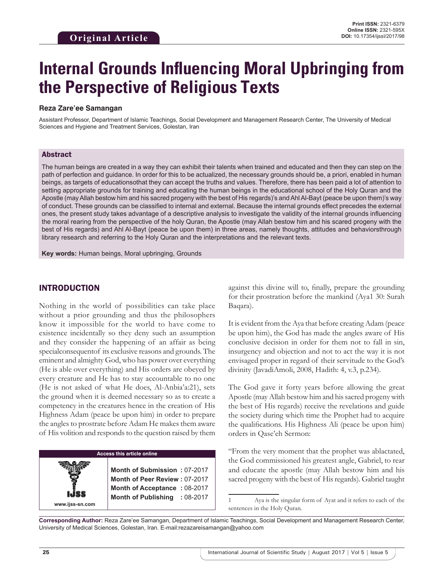# **Internal Grounds Influencing Moral Upbringing from the Perspective of Religious Texts**

#### **Reza Zare'ee Samangan**

Assistant Professor, Department of Islamic Teachings, Social Development and Management Research Center, The University of Medical Sciences and Hygiene and Treatment Services, Golestan, Iran

#### Abstract

The human beings are created in a way they can exhibit their talents when trained and educated and then they can step on the path of perfection and guidance. In order for this to be actualized, the necessary grounds should be, a priori, enabled in human beings, as targets of educationsothat they can accept the truths and values. Therefore, there has been paid a lot of attention to setting appropriate grounds for training and educating the human beings in the educational school of the Holy Quran and the Apostle (may Allah bestow him and his sacred progeny with the best of His regards)'s and Ahl Al-Bayt (peace be upon them)'s way of conduct. These grounds can be classified to internal and external. Because the internal grounds effect precedes the external ones, the present study takes advantage of a descriptive analysis to investigate the validity of the internal grounds influencing the moral rearing from the perspective of the holy Quran, the Apostle (may Allah bestow him and his scared progeny with the best of His regards) and Ahl Al-Bayt (peace be upon them) in three areas, namely thoughts, attitudes and behaviorsthrough library research and referring to the Holy Quran and the interpretations and the relevant texts.

**Key words:** Human beings, Moral upbringing, Grounds

## INTRODUCTION

Nothing in the world of possibilities can take place without a prior grounding and thus the philosophers know it impossible for the world to have come to existence incidentally so they deny such an assumption and they consider the happening of an affair as being specialconsequentof its exclusive reasons and grounds. The eminent and almighty God, who has power over everything (He is able over everything) and His orders are obeyed by every creature and He has to stay accountable to no one (He is not asked of what He does, Al-Anbia'a:21), sets the ground when it is deemed necessary so as to create a competency in the creatures hence in the creation of His Highness Adam (peace be upon him) in order to prepare the angles to prostrate before Adam He makes them aware of His volition and responds to the question raised by them

## **Access this article online**

**Month of Submission :** 07-2017 **Month of Peer Review :** 07-2017 **Month of Acceptance :** 08-2017 **Month of Publishing :** 08-2017 against this divine will to, finally, prepare the grounding for their prostration before the mankind (Aya1 30: Surah Baqara).

It is evident from the Aya that before creating Adam (peace be upon him), the God has made the angles aware of His conclusive decision in order for them not to fall in sin, insurgency and objection and not to act the way it is not envisaged proper in regard of their servitude to the God's divinity (JavadiAmoli, 2008, Hadith: 4, v.3, p.234).

The God gave it forty years before allowing the great Apostle (may Allah bestow him and his sacred progeny with the best of His regards) receive the revelations and guide the society during which time the Prophet had to acquire the qualifications. His Highness Ali (peace be upon him) orders in Qase'eh Sermon:

"From the very moment that the prophet was ablactated, the God commissioned his greatest angle, Gabriel, to rear and educate the apostle (may Allah bestow him and his sacred progeny with the best of His regards). Gabriel taught

**Corresponding Author:** Reza Zare'ee Samangan, Department of Islamic Teachings, Social Development and Management Research Center, University of Medical Sciences, Golestan, Iran. E-mail:rezazareisamangan@yahoo.com

**www.ijss-sn.com**

<sup>1</sup> Aya is the singular form of Ayat and it refers to each of the sentences in the Holy Quran.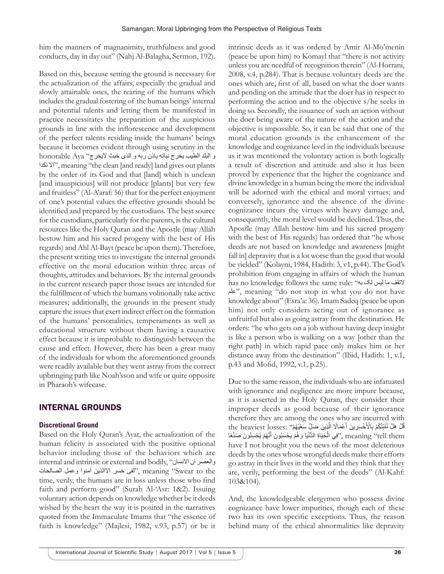him the manners of magnanimity, truthfulness and good conducts, day in day out" (Nahj Al-Balagha, Sermon, 192).

Based on this, because setting the ground is necessary for the actualization of the affairs, especially the gradual and slowly attainable ones, the rearing of the humans which includes the gradual fostering of the human beings' internal and potential talents and letting them be manifested in practice necessitates the preparation of the auspicious grounds in line with the inflorescence and development of the perfect talents residing inside the humans' beings because it becomes evident through using scrutiny in the و البلد الطيب يخرج نباته باذن ربه و الذى خبث اليخرج" Aya honorable نكدا اال", meaning "the clean [and ready] land gives out plants by the order of its God and that [land] which is unclean [and inauspicious] will not produce [plants] but very few and fruitless" (Al-A'araf: 56) that for the perfect enjoyment of one's potential values the effective grounds should be identified and prepared by the custodians. The best source for the custodians, particularly for the parents, is the cultural resources like the Holy Quran and the Apostle (may Allah bestow him and his sacred progeny with the best of His regards) and Ahl Al-Bayt (peace be upon them). Therefore, the present writing tries to investigate the internal grounds effective on the moral education within three areas of thoughts, attitudes and behaviors. By the internal grounds in the current research paper those issues are intended for the fulfillment of which the humans volitionally take active measures; additionally, the grounds in the present study capture the issues that exert indirect effect on the formation of the humans' personalities, temperaments as well as educational structure without them having a causative effect because it is improbable to distinguish between the cause and effect. However, there has been a great many of the individuals for whom the aforementioned grounds were readily available but they went astray from the correct upbringing path like Noah'sson and wife or quite opposite in Pharaoh's wifecase.

## INTERNAL GROUNDS

## **Discretional Ground**

Based on the Holy Quran's Ayat, the actualization of the human felicity is associated with the positive optional behavior including those of the behaviors which are internal and intrinsic or external and bodily, "والعصر ان الانسان the to Swear "meaning ,"لفی خسر االالذین آمنوا وعمل الصالحات time, verily, the humans are in loss unless those who find faith and perform good" (Surah Al-'Asr: 1&2). Issuing voluntary action depends on knowledge whether be it deeds wished by the heart the way it is posited in the narratives quoted from the Immaculate Imams that "the essence of faith is knowledge" (Majlesi, 1982, v.93, p.57) or be it

intrinsic deeds as it was ordered by Amir Al-Mo'menin (peace be upon him) to Komayl that "there is not activity unless you are needful of recognition therein" (Al-Horrani, 2008, v.4, p.284). That is because voluntary deeds are the ones which are, first of all, based on what the doer wants and pending on the attitude that the doer has in respect to performing the action and to the objective s/he seeks in doing so. Secondly, the issuance of such an action without the doer being aware of the nature of the action and the objective is impossible. So, it can be said that one of the moral education grounds is the enhancement of the knowledge and cognizance level in the individuals because as it was mentioned the voluntary action is both logically a result of discretion and attitude and also it has been proved by experience that the higher the cognizance and divine knowledge in a human being the more the individual will be adorned with the ethical and moral virtues; and conversely, ignorance and the absence of the divine cognizance incurs the virtues with heavy damage and, consequently, the moral level would be declined. Thus, the Apostle (may Allah bestow him and his sacred progeny with the best of His regards) has ordered that "he whose deeds are not based on knowledge and awareness [might fall in] depravity that is a lot worse than the good that would be yielded" (Kolayni, 1984, Hadith: 3, v1, p.44). The God's prohibition from engaging in affairs of which the human has no knowledge follows the same rule: "به لک لیس ما التقف علم", meaning "do not stop in what you do not have knowledge about" (Esra'a: 36). Imam Sadeq (peace be upon him) not only considers acting out of ignorance as unfruitful but also as going astray from the destination. He orders: "he who gets on a job without having deep insight is like a person who is walking on a way [other than the right path] in which rapid pace only makes him or her distance away from the destination" (Ibid, Hadith: 1, v.1, p.43 and Mofid, 1992, v.1, p.25).

Due to the same reason, the individuals who are infatuated with ignorance and negligence are more impure because, as it is asserted in the Holy Quran, they consider their improper deeds as good because of their ignorance therefore they are among the ones who are incurred with ِقُلْ هَلْ نُنَبِّئُكُمْ بِالْأَخْسَرِينَ أَعْمَالًا الَّذِينَ صَلِّ سَعْيُهُمْ'' :the heaviest losses ّ ُفِي الْحَيَاةِ الدُّنْيَا وَهُمْ يَحْسَبُونَ أَنَّهُمْ يُحْسِنُونَ صُنْعًا", meaning "tell them ْhave I not brought you the news of the most deleterious deeds by the ones whose wrongful deeds make their efforts go astray in their lives in the world and they think that they are, verily, performing the best of the deeds" (Al-Kahf: 103&104).

And, the knowledgeable clergymen who possess divine cognizance have lower impurities, though each of these two has its own specific exceptions. Thus, the reason behind many of the ethical abnormalities like depravity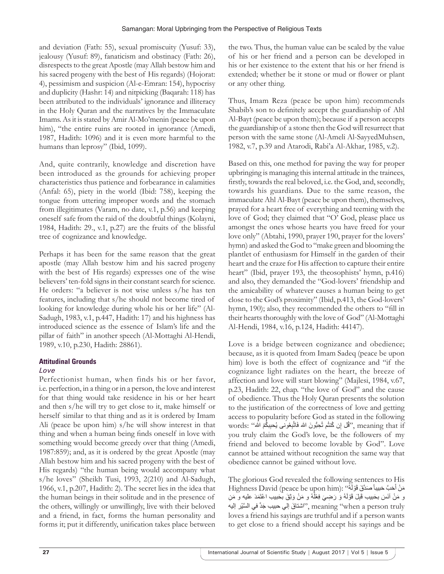and deviation (Fath: 55), sexual promiscuity (Yusuf: 33), jealousy (Yusuf: 89), fanaticism and obstinacy (Fath: 26), disrespects to the great Apostle (may Allah bestow him and his sacred progeny with the best of His regards) (Hojorat: 4), pessimism and suspicion (Al-e-Emran: 154), hypocrisy and duplicity (Hashr: 14) and nitpicking (Baqarah: 118) has been attributed to the individuals' ignorance and illiteracy in the Holy Quran and the narratives by the Immaculate Imams. As it is stated by Amir Al-Mo'menin (peace be upon him), "the entire ruins are rooted in ignorance (Amedi, 1987, Hadith: 1096) and it is even more harmful to the humans than leprosy" (Ibid, 1099).

And, quite contrarily, knowledge and discretion have been introduced as the grounds for achieving proper characteristics thus patience and forbearance in calamities (Anfal: 65), piety in the world (Ibid: 758), keeping the tongue from uttering improper words and the stomach from illegitimates (Varam, no date, v.1, p.56) and keeping oneself safe from the raid of the doubtful things (Kolayni, 1984, Hadith: 29., v.1, p.27) are the fruits of the blissful tree of cognizance and knowledge.

Perhaps it has been for the same reason that the great apostle (may Allah bestow him and his sacred progeny with the best of His regards) expresses one of the wise believers' ten-fold signs in their constant search for science. He orders: "a believer is not wise unless s/he has ten features, including that s/he should not become tired of looking for knowledge during whole his or her life" (Al-Sadugh, 1983, v.1, p.447, Hadith: 17) and his highness has introduced science as the essence of Islam's life and the pillar of faith" in another speech (Al-Mottaghi Al-Hendi, 1989, v.10, p.230, Hadith: 28861).

## **Attitudinal Grounds**

## *Love*

Perfectionist human, when finds his or her favor, i.e. perfection, in a thing or in a person, the love and interest for that thing would take residence in his or her heart and then s/he will try to get close to it, make himself or herself similar to that thing and as it is ordered by Imam Ali (peace be upon him) s/he will show interest in that thing and when a human being finds oneself in love with something would become greedy over that thing (Amedi, 1987:859); and, as it is ordered by the great Apostle (may Allah bestow him and his sacred progeny with the best of His regards) "the human being would accompany what s/he loves" (Sheikh Tusi, 1993, 2(210) and Al-Sadugh, 1966, v.1, p.207, Hadith: 2). The secret lies in the idea that the human beings in their solitude and in the presence of the others, willingly or unwillingly, live with their beloved and a friend, in fact, forms the human personality and forms it; put it differently, unification takes place between

the two. Thus, the human value can be scaled by the value of his or her friend and a person can be developed in his or her existence to the extent that his or her friend is extended; whether be it stone or mud or flower or plant or any other thing.

Thus, Imam Reza (peace be upon him) recommends Shabib's son to definitely accept the guardianship of Ahl Al-Bayt (peace be upon them); because if a person accepts the guardianship of a stone then the God will resurrect that person with the same stone (Al-Ameli Al-SayyedMuhsen, 1982, v.7, p.39 and Atarodi, Rabi'a Al-Akhar, 1985, v.2).

Based on this, one method for paving the way for proper upbringing is managing this internal attitude in the trainees, firstly, towards the real beloved, i.e. the God, and, secondly, towards his guardians. Due to the same reason, the immaculate Ahl Al-Bayt (peace be upon them), themselves, prayed for a heart free of everything and teeming with the love of God; they claimed that "O' God, please place us amongst the ones whose hearts you have freed for your love only" (Abtahi, 1990, prayer 190, prayer for the lovers' hymn) and asked the God to "make green and blooming the plantlet of enthusiasm for Himself in the garden of their heart and the craze for His affection to capture their entire heart" (Ibid, prayer 193, the theosophists' hymn, p.416) and also, they demanded the "God-lovers' friendship and the amicability of whatever causes a human being to get close to the God's proximity" (Ibid, p.413, the God-lovers' hymn, 190); also, they recommended the others to "fill in their hearts thoroughly with the love of God" (Al-Mottaghi Al-Hendi, 1984, v.16, p.124, Hadith: 44147).

Love is a bridge between cognizance and obedience; because, as it is quoted from Imam Sadeq (peace be upon him) love is both the effect of cognizance and "if the cognizance light radiates on the heart, the breeze of affection and love will start blowing" (Majlesi, 1984, v.67, p.23, Hadith: 22, chap. "the love of God" and the cause of obedience. Thus the Holy Quran presents the solution to the justification of the correctness of love and getting access to popularity before God as stated in the following words: ''قُل إن كُنتُم تُحِبُّونَ الله فَاتَّبِعُوني يُحبِبكُمُ الله'' .words you truly claim the God's love, be the followers of my friend and beloved to become lovable by God". Love cannot be attained without recognition the same way that obedience cannot be gained without love.

The glorious God revealed the following sentences to His Highness David (peace be upon him): "فَرْ أَهُ" : Highness David (peace be upon him) ًَو مَنْ آنَسَ بحَبيب قَبِلَ قَوْلَهُ وَ رَضِيَ فِعْلَهُ و مَنْ وَثِقَ بحَبيب اعْتَمَدَ عليه و مَنِ meaning "when a person truly", "اشتاقَ إلى حبيب جَدَّ في السَّيْر إليه loves a friend his sayings are truthful and if a person wants to get close to a friend should accept his sayings and be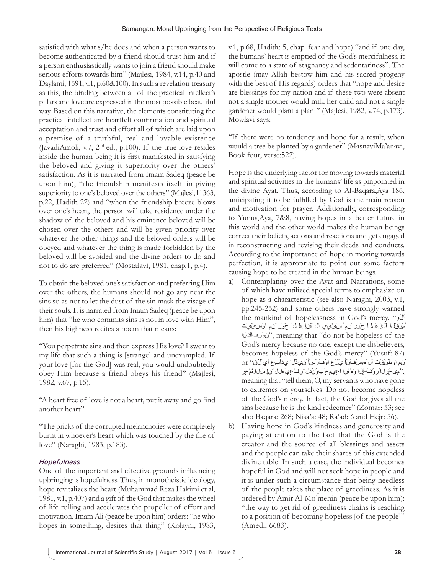satisfied with what s/he does and when a person wants to become authenticated by a friend should trust him and if a person enthusiastically wants to join a friend should make serious efforts towards him" (Majlesi, 1984, v.14, p.40 and Daylami, 1591, v.1, p.60&100). In such a revelation treasury as this, the binding between all of the practical intellect's pillars and love are expressed in the most possible beautiful way. Based on this narrative, the elements constituting the practical intellect are heartfelt confirmation and spiritual acceptation and trust and effort all of which are laid upon a premise of a truthful, real and lovable existence (JavadiAmoli, v.7, 2nd ed., p.100). If the true love resides inside the human being it is first manifested in satisfying the beloved and giving it superiority over the others' satisfaction. As it is narrated from Imam Sadeq (peace be upon him), "the friendship manifests itself in giving superiority to one's beloved over the others" (Majlesi,11363, p.22, Hadith 22) and "when the friendship breeze blows over one's heart, the person will take residence under the shadow of the beloved and his eminence beloved will be chosen over the others and will be given priority over whatever the other things and the beloved orders will be obeyed and whatever the thing is made forbidden by the beloved will be avoided and the divine orders to do and not to do are preferred" (Mostafavi, 1981, chap.1, p.4).

To obtain the beloved one's satisfaction and preferring Him over the others, the humans should not go any near the sins so as not to let the dust of the sin mask the visage of their souls. It is narrated from Imam Sadeq (peace be upon him) that "he who commits sins is not in love with Him", then his highness recites a poem that means:

"You perpetrate sins and then express His love? I swear to my life that such a thing is [strange] and unexampled. If your love [for the God] was real, you would undoubtedly obey Him because a friend obeys his friend" (Majlesi, 1982, v.67, p.15).

"A heart free of love is not a heart, put it away and go find another heart"

"The pricks of the corrupted melancholies were completely burnt in whoever's heart which was touched by the fire of love" (Naraghi, 1983, p.183).

# *Hopefulness*

One of the important and effective grounds influencing upbringing is hopefulness. Thus, in monotheistic ideology, hope revitalizes the heart (Muhammad Reza Hakimi et al, 1981, v.1, p.407) and a gift of the God that makes the wheel of life rolling and accelerates the propeller of effort and motivation. Imam Ali (peace be upon him) orders: "he who hopes in something, desires that thing" (Kolayni, 1983,

v.1, p.68, Hadith: 5, chap. fear and hope) "and if one day, the humans' heart is emptied of the God's mercifulness, it will come to a state of stagnancy and sedentariness". The apostle (may Allah bestow him and his sacred progeny with the best of His regards) orders that "hope and desire are blessings for my nation and if these two were absent not a single mother would milk her child and not a single gardener would plant a plant" (Majlesi, 1982, v.74, p.173). Mowlavi says:

"If there were no tendency and hope for a result, when would a tree be planted by a gardener" (MasnaviMa'anavi, Book four, verse:522).

Hope is the underlying factor for moving towards material and spiritual activities in the humans' life as pinpointed in the divine Ayat. Thus, according to Al-Baqara,Aya 186, anticipating it to be fulfilled by God is the main reason and motivation for prayer. Additionally, corresponding to Yunus,Aya, 7&8, having hopes in a better future in this world and the other world makes the human beings correct their beliefs, actions and reactions and get engaged in reconstructing and revising their deeds and conducts. According to the importance of hope in moving towards perfection, it is appropriate to point out some factors causing hope to be created in the human beings.

- a) Contemplating over the Ayat and Narrations, some of which have utilized special terms to emphasize on hope as a characteristic (see also Naraghi, 2003, v.1, pp.245-252) and some others have strongly warned the mankind of hopelessness in God's mercy. "وَلَا ُمْوَقْلا اَّلِإ ِهللا ِحْوَر ْنِم ُسَئْيَي اَل ُهَّنِإ ِهللا ِحْوَر ْنِم اوُسَئْيَت فاكلاِرُنوَ", meaning that "do not be hopeless of the God's mercy because no one, except the disbelievers, becomes hopeless of the God's mercy" (Yusuf: 87) ْنِم اوُطَنْقَت اَل ْمهِسُفْنَأ يَلَع اوُفَرْسَأ َنيِذَّلا يِداَبِع اَي ْلُق" or ,"ُميِحَّرلا ُروُفَغْلا َوُه ُهَّنِإ اًعيِمَج َبوُنُّذلا ُرِفْغَي َهللا َّنِإ ِهللا ِةَمْحَر meaning that "tell them, O, my servants who have gone to extremes on yourselves! Do not become hopeless of the God's mercy. In fact, the God forgives all the sins because he is the kind redeemer" (Zomar: 53; see also Baqara: 268; Nisa'a: 48; Ra'ad: 6 and Hejr: 56).
- b) Having hope in God's kindness and generosity and paying attention to the fact that the God is the creator and the source of all blessings and assets and the people can take their shares of this extended divine table. In such a case, the individual becomes hopeful in God and will not seek hope in people and it is under such a circumstance that being needless of the people takes the place of greediness. As it is ordered by Amir Al-Mo'menin (peace be upon him): "the way to get rid of greediness chains is reaching to a position of becoming hopeless [of the people]" (Amedi, 6683).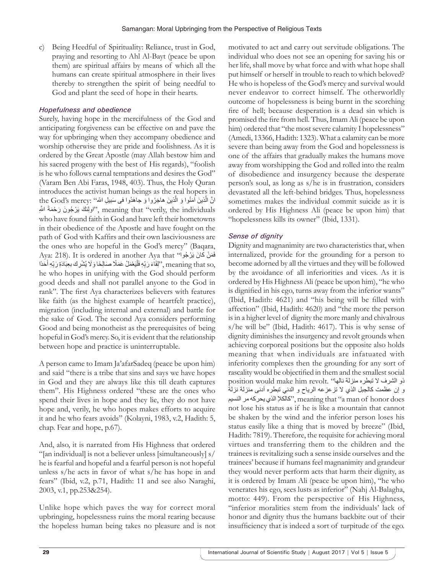c) Being Heedful of Spirituality: Reliance, trust in God, praying and resorting to Ahl Al-Bayt (peace be upon them) are spiritual affairs by means of which all the humans can create spiritual atmosphere in their lives thereby to strengthen the spirit of being needful to God and plant the seed of hope in their hearts.

# *Hopefulness and obedience*

Surely, having hope in the mercifulness of the God and anticipating forgiveness can be effective on and pave the way for upbringing when they accompany obedience and worship otherwise they are pride and foolishness. As it is ordered by the Great Apostle (may Allah bestow him and his sacred progeny with the best of His regards), "foolish is he who follows carnal temptations and desires the God" (Varam Ben Abi Faras, 1948, 403). Thus, the Holy Quran introduces the activist human beings as the real hopers in انَّ الَّذينَ آمَنُوا وَ الَّذينَ هاجَرُوا وَ جاهَدُوا في سَبيلِ اللهَ'' :the God's mercy ∫<br>} ِ ولِنْكَ يَرْجُونَ رَحْمَةَ اللَّهِ", meaning that "verily, the individuals who have found faith in God and have left their hometowns in their obedience of the Apostle and have fought on the path of God with Kaffirs and their own lasciviousness are the ones who are hopeful in the God's mercy" (Baqara, Aya: 218). It is ordered in another Aya that "أَهَنْ كانَ يَرْجُوا ؚ<br>ا ِ meaning that so, ''لِقَاءَ رَبِّهِ فَلْيَعْمَلْ عَمَلًا صَالِحًا وَلَا يُشْرِك بعِبَادَةِ رَبِّهِ أَحَدًا " ّ َل ّ he who hopes in unifying with the God should perform good deeds and shall not parallel anyone to the God in rank". The first Aya characterizes believers with features like faith (as the highest example of heartfelt practice), migration (including internal and external) and battle for the sake of God. The second Aya considers performing Good and being monotheist as the prerequisites of being hopeful in God's mercy. So, it is evident that the relationship between hope and practice is uninterruptable.

A person came to Imam Ja'afarSadeq (peace be upon him) and said "there is a tribe that sins and says we have hopes in God and they are always like this till death captures them". His Highness ordered "these are the ones who spend their lives in hope and they lie, they do not have hope and, verily, he who hopes makes efforts to acquire it and he who fears avoids" (Kolayni, 1983, v.2, Hadith: 5, chap. Fear and hope, p.67).

And, also, it is narrated from His Highness that ordered "[an individual] is not a believer unless [simultaneously] s/ he is fearful and hopeful and a fearful person is not hopeful unless s/he acts in favor of what s/he has hope in and fears" (Ibid, v.2, p.71, Hadith: 11 and see also Naraghi, 2003, v.1, pp.253&254).

Unlike hope which paves the way for correct moral upbringing, hopelessness ruins the moral rearing because the hopeless human being takes no pleasure and is not motivated to act and carry out servitude obligations. The individual who does not see an opening for saving his or her life, shall move by what force and with what hope shall put himself or herself in trouble to reach to which beloved? He who is hopeless of the God's mercy and survival would never endeavor to correct himself. The otherworldly outcome of hopelessness is being burnt in the scorching fire of hell; because desperation is a dead sin which is promised the fire from hell. Thus, Imam Ali (peace be upon him) ordered that "the most severe calamity I hopelessness" (Amedi, 13366, Hadith: 1323). What a calamity can be more severe than being away from the God and hopelessness is one of the affairs that gradually makes the humans move away from worshipping the God and rolled into the realm of disobedience and insurgency because the desperate person's soul, as long as s/he is in frustration, considers devastated all the left-behind bridges. Thus, hopelessness sometimes makes the individual commit suicide as it is ordered by His Highness Ali (peace be upon him) that "hopelessness kills its owner" (Ibid, 1331).

# *Sense of dignity*

Dignity and magnanimity are two characteristics that, when internalized, provide for the grounding for a person to become adorned by all the virtues and they will be followed by the avoidance of all inferiorities and vices. As it is ordered by His Highness Ali (peace be upon him), "he who is dignified in his ego, turns away from the inferior wants" (Ibid, Hadith: 4621) and "his being will be filled with affection" (Ibid, Hadith: 4620) and "the more the person is in a higher level of dignity the more manly and chivalrous s/he will be" (Ibid, Hadith: 4617). This is why sense of dignity diminishes the insurgency and revolt grounds when achieving corporeal positions but the opposite also holds meaning that when individuals are infatuated with inferiority complexes then the grounding for any sort of rascality would be objectified in them and the smallest social ذو الشرف ال تبطره منزلة نالها" .revolt him make would position و إن عظمت كالجبل الذي لا تزعزعه الرياح و الدني تبطره أدنى منزلة نزلة كالكلإ الذي يحركه مر النسيم" meaning that "a man of honor does", meaning that " not lose his status as if he is like a mountain that cannot be shaken by the wind and the inferior person loses his status easily like a thing that is moved by breeze" (Ibid, Hadith: 7819). Therefore, the requisite for achieving moral virtues and transferring them to the children and the trainees is revitalizing such a sense inside ourselves and the trainees' because if humans feel magnanimity and grandeur they would never perform acts that harm their dignity, as it is ordered by Imam Ali (peace be upon him), "he who venerates his ego, sees lusts as inferior" (Nahj Al-Balagha, motto: 449). From the perspective of His Highness, "inferior moralities stem from the individuals' lack of honor and dignity thus the humans backbite out of their insufficiency that is indeed a sort of turpitude of the ego.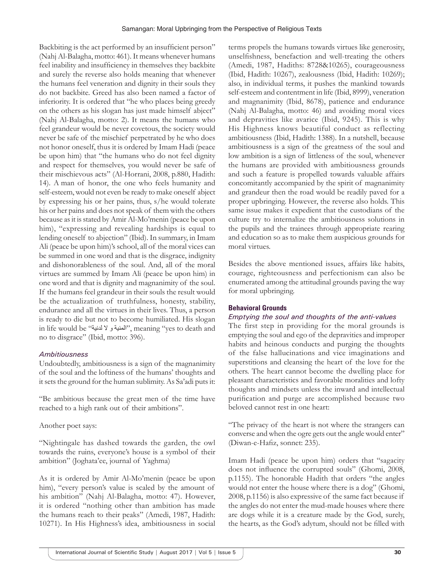Backbiting is the act performed by an insufficient person" (Nahj Al-Balagha, motto: 461). It means whenever humans feel inability and insufficiency in themselves they backbite and surely the reverse also holds meaning that whenever the humans feel veneration and dignity in their souls they do not backbite. Greed has also been named a factor of inferiority. It is ordered that "he who places being greedy on the others as his slogan has just made himself abject" (Nahj Al-Balagha, motto: 2). It means the humans who feel grandeur would be never covetous, the society would never be safe of the mischief perpetrated by he who does not honor oneself, thus it is ordered by Imam Hadi (peace be upon him) that "the humans who do not feel dignity and respect for themselves, you would never be safe of their mischievous acts" (Al-Horrani, 2008, p.880, Hadith: 14). A man of honor, the one who feels humanity and self-esteem, would not even be ready to make oneself abject by expressing his or her pains, thus, s/he would tolerate his or her pains and does not speak of them with the others because as it is stated by Amir Al-Mo'menin (peace be upon him), "expressing and revealing hardships is equal to lending oneself to abjection" (Ibid). In summary, in Imam Ali (peace be upon him)'s school, all of the moral vices can be summed in one word and that is the disgrace, indignity and dishonorableness of the soul. And, all of the moral virtues are summed by Imam Ali (peace be upon him) in one word and that is dignity and magnanimity of the soul. If the humans feel grandeur in their souls the result would be the actualization of truthfulness, honesty, stability, endurance and all the virtues in their lives. Thus, a person is ready to die but not to become humiliated. His slogan in life would be "لدنية ال و المنية", meaning "yes to death and no to disgrace" (Ibid, motto: 396).

#### *Ambitiousness*

Undoubtedly, ambitiousness is a sign of the magnanimity of the soul and the loftiness of the humans' thoughts and it sets the ground for the human sublimity. As Sa'adi puts it:

"Be ambitious because the great men of the time have reached to a high rank out of their ambitions".

Another poet says:

"Nightingale has dashed towards the garden, the owl towards the ruins, everyone's house is a symbol of their ambition" (Joghata'ee, journal of Yaghma)

As it is ordered by Amir Al-Mo'menin (peace be upon him), "every person's value is scaled by the amount of his ambition" (Nahj Al-Balagha, motto: 47). However, it is ordered "nothing other than ambition has made the humans reach to their peaks" (Amedi, 1987, Hadith: 10271). In His Highness's idea, ambitiousness in social

terms propels the humans towards virtues like generosity, unselfishness, benefaction and well-treating the others (Amedi, 1987, Hadiths: 8728&10265), courageousness (Ibid, Hadith: 10267), zealousness (Ibid, Hadith: 10269); also, in individual terms, it pushes the mankind towards self-esteem and contentment in life (Ibid, 8999), veneration and magnanimity (Ibid, 8678), patience and endurance (Nahj Al-Balagha, motto: 46) and avoiding moral vices and depravities like avarice (Ibid, 9245). This is why His Highness knows beautiful conduct as reflecting ambitiousness (Ibid, Hadith: 1388). In a nutshell, because ambitiousness is a sign of the greatness of the soul and low ambition is a sign of littleness of the soul, whenever the humans are provided with ambitiousness grounds and such a feature is propelled towards valuable affairs concomitantly accompanied by the spirit of magnanimity and grandeur then the road would be readily paved for a proper upbringing. However, the reverse also holds. This same issue makes it expedient that the custodians of the culture try to internalize the ambitiousness solutions in the pupils and the trainees through appropriate rearing and education so as to make them auspicious grounds for moral virtues.

Besides the above mentioned issues, affairs like habits, courage, righteousness and perfectionism can also be enumerated among the attitudinal grounds paving the way for moral upbringing.

## **Behavioral Grounds**

#### *Emptying the soul and thoughts of the anti-values*

The first step in providing for the moral grounds is emptying the soul and ego of the depravities and improper habits and heinous conducts and purging the thoughts of the false hallucinations and vice imaginations and superstitions and cleansing the heart of the love for the others. The heart cannot become the dwelling place for pleasant characteristics and favorable moralities and lofty thoughts and mindsets unless the inward and intellectual purification and purge are accomplished because two beloved cannot rest in one heart:

"The privacy of the heart is not where the strangers can converse and when the ogre gets out the angle would enter" (Diwan-e-Hafiz, sonnet: 235).

Imam Hadi (peace be upon him) orders that "sagacity does not influence the corrupted souls" (Ghomi, 2008, p.1155). The honorable Hadith that orders "the angles would not enter the house where there is a dog" (Ghomi, 2008, p.1156) is also expressive of the same fact because if the angles do not enter the mud-made houses where there are dogs while it is a creature made by the God, surely, the hearts, as the God's adytum, should not be filled with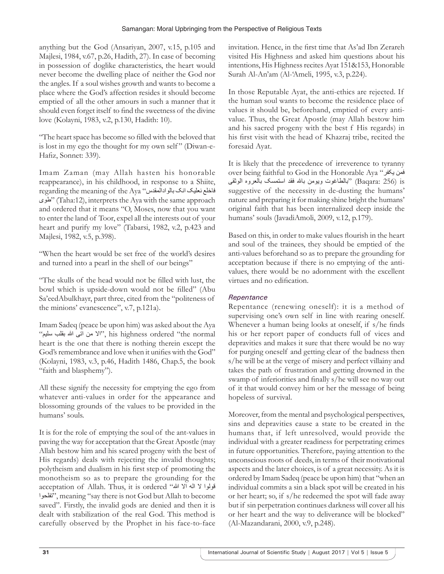anything but the God (Ansariyan, 2007, v.15, p.105 and Majlesi, 1984, v.67, p.26, Hadith, 27). In case of becoming in possession of doglike characteristics, the heart would never become the dwelling place of neither the God nor the angles. If a soul wishes growth and wants to become a place where the God's affection resides it should become emptied of all the other amours in such a manner that it should even forget itself to find the sweetness of the divine love (Kolayni, 1983, v.2, p.130, Hadith: 10).

"The heart space has become so filled with the beloved that is lost in my ego the thought for my own self" (Diwan-e-Hafiz, Sonnet: 339).

Imam Zaman (may Allah hasten his honorable reappearance), in his childhood, in response to a Shiite, regarding the meaning of the Aya "بالوادالمقدس انک نعلیک فاخلع طوی) "Taha:12), interprets the Aya with the same approach and ordered that it means "O, Moses, now that you want to enter the land of Toor, expel all the interests out of your heart and purify my love" (Tabarsi, 1982, v.2, p.423 and Majlesi, 1982, v.5, p.398).

"When the heart would be set free of the world's desires and turned into a pearl in the shell of our beings"

"The skulls of the head would not be filled with lust, the bowl which is upside-down would not be filled" (Abu Sa'eedAbulkhayr, part three, cited from the "politeness of the minions' evanescence", v.7, p.121a).

Imam Sadeq (peace be upon him) was asked about the Aya normal the "ordered highness his ,"اال من اتی هللا بقلب سلیم" heart is the one that there is nothing therein except the God's remembrance and love when it unifies with the God" (Kolayni, 1983, v.3, p.46, Hadith 1486, Chap.5, the book "faith and blasphemy").

All these signify the necessity for emptying the ego from whatever anti-values in order for the appearance and blossoming grounds of the values to be provided in the humans' souls.

It is for the role of emptying the soul of the ant-values in paving the way for acceptation that the Great Apostle (may Allah bestow him and his scared progeny with the best of His regards) deals with rejecting the invalid thoughts; polytheism and dualism in his first step of promoting the monotheism so as to prepare the grounding for the acceptation of Allah. Thus, it is ordered "هولوا لا اله الا الله تفلحوا", meaning "say there is not God but Allah to become saved". Firstly, the invalid gods are denied and then it is dealt with stabilization of the real God. This method is carefully observed by the Prophet in his face-to-face

invitation. Hence, in the first time that As'ad Ibn Zerareh visited His Highness and asked him questions about his intentions, His Highness recites Ayat 151&153, Honorable Surah Al-An'am (Al-'Ameli, 1995, v.3, p.224).

In those Reputable Ayat, the anti-ethics are rejected. If the human soul wants to become the residence place of values it should be, beforehand, emptied of every antivalue. Thus, the Great Apostle (may Allah bestow him and his sacred progeny with the best f His regards) in his first visit with the head of Khazraj tribe, recited the foresaid Ayat.

It is likely that the precedence of irreverence to tyranny over being faithful to God in the Honorable Aya "یکفر فمن is) 256 :Baqara" (بالطاغوت ویومن باهلل فقد استمسک بالعروه الوثقی suggestive of the necessity in de-dusting the humans' nature and preparing it for making shine bright the humans' original faith that has been internalized deep inside the humans' souls (JavadiAmoli, 2009, v.12, p.179).

Based on this, in order to make values flourish in the heart and soul of the trainees, they should be emptied of the anti-values beforehand so as to prepare the grounding for acceptation because if there is no emptying of the antivalues, there would be no adornment with the excellent virtues and no edification.

# *Repentance*

Repentance (renewing oneself): it is a method of supervising one's own self in line with rearing oneself. Whenever a human being looks at oneself, if s/he finds his or her report paper of conducts full of vices and depravities and makes it sure that there would be no way for purging oneself and getting clear of the badness then s/he will be at the verge of misery and perfect villainy and takes the path of frustration and getting drowned in the swamp of inferiorities and finally s/he will see no way out of it that would convey him or her the message of being hopeless of survival.

Moreover, from the mental and psychological perspectives, sins and depravities cause a state to be created in the humans that, if left unresolved, would provide the individual with a greater readiness for perpetrating crimes in future opportunities. Therefore, paying attention to the unconscious roots of deeds, in terms of their motivational aspects and the later choices, is of a great necessity. As it is ordered by Imam Sadeq (peace be upon him) that "when an individual commits a sin a black spot will be created in his or her heart; so, if s/he redeemed the spot will fade away but if sin perpetration continues darkness will cover all his or her heart and the way to deliverance will be blocked" (Al-Mazandarani, 2000, v.9, p.248).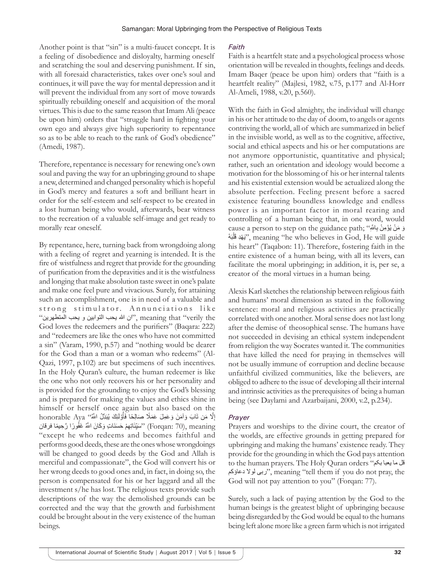Another point is that "sin" is a multi-faucet concept. It is a feeling of disobedience and disloyalty, harming oneself and scratching the soul and deserving punishment. If sin, with all foresaid characteristics, takes over one's soul and continues, it will pave the way for mental depression and it will prevent the individual from any sort of move towards spiritually rebuilding oneself and acquisition of the moral virtues. This is due to the same reason that Imam Ali (peace be upon him) orders that "struggle hard in fighting your own ego and always give high superiority to repentance so as to be able to reach to the rank of God's obedience" (Amedi, 1987).

Therefore, repentance is necessary for renewing one's own soul and paving the way for an upbringing ground to shape a new, determined and changed personality which is hopeful in God's mercy and features a soft and brilliant heart in order for the self-esteem and self-respect to be created in a lost human being who would, afterwards, bear witness to the recreation of a valuable self-image and get ready to morally rear oneself.

By repentance, here, turning back from wrongdoing along with a feeling of regret and yearning is intended. It is the fire of wistfulness and regret that provide for the grounding of purification from the depravities and it is the wistfulness and longing that make absolution taste sweet in one's palate and make one feel pure and vivacious. Surely, for attaining such an accomplishment, one is in need of a valuable and strong stimulator. Annunciations like the verily "that meaning ,"ان هللا یحب التوابین و یحب المتطهرین" God loves the redeemers and the purifiers" (Baqara: 222) and "redeemers are like the ones who have not committed a sin" (Varam, 1990, p.57) and "nothing would be dearer for the God than a man or a woman who redeems" (Al-Qazi, 1997, p.102) are but specimens of such incentives. In the Holy Quran's culture, the human redeemer is like the one who not only recovers his or her personality and is provided for the grounding to enjoy the God's blessing and is prepared for making the values and ethics shine in himself or herself once again but also based on the lhonorable Aya ''مَّن تَابَ وَآمَنَ وَعَمِلَ عَمَلًا صَالِحًا فَأَوْلَٰئِكَ بُبَدِّلُ اللَّهُ'' honorable Aya ؚ<br>ۣ ِ 'سَبِّئَاتِهِمْ حَسَنَاتٍ وَكَانَ اللَّهُ غَفُورًا رَّحِيمًا فرقان (Forqan: 70), meaning ّ "except he who redeems and becomes faithful and performs good deeds, these are the ones whose wrongdoings will be changed to good deeds by the God and Allah is merciful and compassionate", the God will convert his or her wrong deeds to good ones and, in fact, in doing so, the person is compensated for his or her laggard and all the investment s/he has lost. The religious texts provide such descriptions of the way the demolished grounds can be corrected and the way that the growth and furbishment could be brought about in the very existence of the human beings.

#### *Faith*

Faith is a heartfelt state and a psychological process whose orientation will be revealed in thoughts, feelings and deeds. Imam Baqer (peace be upon him) orders that "faith is a heartfelt reality" (Majlesi, 1982, v.75, p.177 and Al-Horr Al-Ameli, 1988, v.20, p.560).

With the faith in God almighty, the individual will change in his or her attitude to the day of doom, to angels or agents contriving the world, all of which are summarized in belief in the invisible world, as well as to the cognitive, affective, social and ethical aspects and his or her computations are not anymore opportunistic, quantitative and physical; rather, such an orientation and ideology would become a motivation for the blossoming of his or her internal talents and his existential extension would be actualized along the absolute perfection. Feeling present before a sacred existence featuring boundless knowledge and endless power is an important factor in moral rearing and controlling of a human being that, in one word, would cause a person to step on the guidance path; سَ بُؤْمِنْ بِاللَّهِ بَّهُدِ قَلْبَهُ", meaning "he who believes in God, He will guide َل his heart" (Taqabon: 11). Therefore, fostering faith in the entire existence of a human being, with all its levers, can facilitate the moral upbringing; in addition, it is, per se, a creator of the moral virtues in a human being.

Alexis Karl sketches the relationship between religious faith and humans' moral dimension as stated in the following sentence: moral and religious activities are practically correlated with one another. Moral sense does not last long after the demise of theosophical sense. The humans have not succeeded in devising an ethical system independent from religion the way Socrates wanted it. The communities that have killed the need for praying in themselves will not be usually immune of corruption and decline because unfaithful civilized communities, like the believers, are obliged to adhere to the issue of developing all their internal and intrinsic activities as the prerequisites of being a human being (see Daylami and Azarbaijani, 2000, v.2, p.234).

## *Prayer*

Prayers and worships to the divine court, the creator of the worlds, are effective grounds in getting prepared for upbringing and making the humans' existence ready. They provide for the grounding in which the God pays attention to the human prayers. The Holy Quran orders "بکم یعبا ما قل دعاؤکم لوال ربی", meaning "tell them if you do not pray, the God will not pay attention to you" (Forqan: 77).

Surely, such a lack of paying attention by the God to the human beings is the greatest blight of upbringing because being disregarded by the God would be equal to the humans being left alone more like a green farm which is not irrigated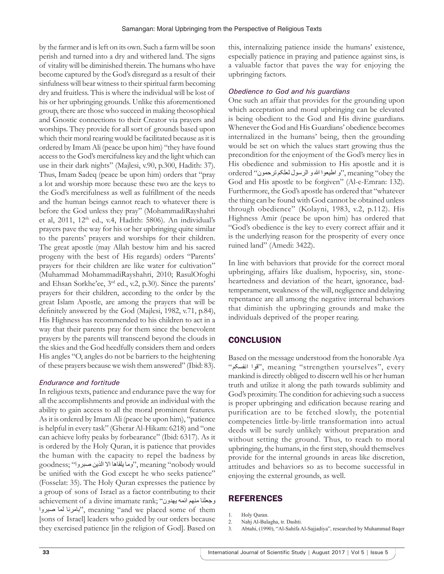by the farmer and is left on its own. Such a farm will be soon perish and turned into a dry and withered land. The signs of vitality will be diminished therein. The humans who have become captured by the God's disregard as a result of their sinfulness will bear witness to their spiritual farm becoming dry and fruitless. This is where the individual will be lost of his or her upbringing grounds. Unlike this aforementioned group, there are those who succeed in making theosophical and Gnostic connections to their Creator via prayers and worships. They provide for all sort of grounds based upon which their moral rearing would be facilitated because as it is ordered by Imam Ali (peace be upon him) "they have found access to the God's mercifulness key and the light which can use in their dark nights" (Majlesi, v.90, p.300, Hadith: 37). Thus, Imam Sadeq (peace be upon him) orders that "pray a lot and worship more because these two are the keys to the God's mercifulness as well as fulfillment of the needs and the human beings cannot reach to whatever there is before the God unless they pray" (MohammadiRayshahri et al, 2011, 12<sup>th</sup> ed., v.4, Hadith: 5806). An individual's prayers pave the way for his or her upbringing quite similar to the parents' prayers and worships for their children. The great apostle (may Allah bestow him and his sacred progeny with the best of His regards) orders "Parents' prayers for their children are like water for cultivation" (Muhammad MohammadiRayshahri, 2010; RasulOfoghi and Ehsan Sorkhe'ee, 3rd ed., v.2, p.30). Since the parents' prayers for their children, according to the order by the great Islam Apostle, are among the prayers that will be definitely answered by the God (Majlesi, 1982, v.71, p.84), His Highness has recommended to his children to act in a way that their parents pray for them since the benevolent prayers by the parents will transcend beyond the clouds in the skies and the God heedfully considers them and orders His angles "O, angles do not be barriers to the heightening of these prayers because we wish them answered" (Ibid: 83).

#### *Endurance and fortitude*

In religious texts, patience and endurance pave the way for all the accomplishments and provide an individual with the ability to gain access to all the moral prominent features. As it is ordered by Imam Ali (peace be upon him), "patience is helpful in every task" (Gherar Al-Hikam: 6218) and "one can achieve lofty peaks by forbearance" (Ibid: 6317). As it is ordered by the Holy Quran, it is patience that provides the human with the capacity to repel the badness by would nobody "meaning ,"وما یلقاها اال الذین صبروا" ;goodness be unified with the God except he who seeks patience" (Fosselat: 35). The Holy Quran expresses the patience by a group of sons of Israel as a factor contributing to their achievement of a divine imamate rank; "وجعلنا منهم ائمه بهدون صبروا لما بامرنا", meaning "and we placed some of them [sons of Israel] leaders who guided by our orders because they exercised patience [in the religion of God]. Based on this, internalizing patience inside the humans' existence, especially patience in praying and patience against sins, is a valuable factor that paves the way for enjoying the upbringing factors.

## *Obedience to God and his guardians*

One such an affair that provides for the grounding upon which acceptation and moral upbringing can be elevated is being obedient to the God and His divine guardians. Whenever the God and His Guardians' obedience becomes internalized in the humans' being, then the grounding would be set on which the values start growing thus the precondition for the enjoyment of the God's mercy lies in His obedience and submission to His apostle and it is ordered "و اطیعوا الله و الرسول لعلکم ترحمون" ordered " ordered God and His apostle to be forgiven" (Al-e-Emran: 132). Furthermore, the God's apostle has ordered that "whatever the thing can be found with God cannot be obtained unless through obedience" (Kolayni, 1983, v.2, p.112). His Highness Amir (peace be upon him) has ordered that "God's obedience is the key to every correct affair and it is the underlying reason for the prosperity of every once ruined land" (Amedi: 3422).

In line with behaviors that provide for the correct moral upbringing, affairs like dualism, hypocrisy, sin, stoneheartedness and deviation of the heart, ignorance, badtemperament, weakness of the will, negligence and delaying repentance are all among the negative internal behaviors that diminish the upbringing grounds and make the individuals deprived of the proper rearing.

## **CONCLUSION**

Based on the message understood from the honorable Aya "انفسکم قوا", meaning "strengthen yourselves", every mankind is directly obliged to discern well his or her human truth and utilize it along the path towards sublimity and God's proximity. The condition for achieving such a success is proper upbringing and edification because rearing and purification are to be fetched slowly, the potential competencies little-by-little transformation into actual deeds will be surely unlikely without preparation and without setting the ground. Thus, to reach to moral upbringing, the humans, in the first step, should themselves provide for the internal grounds in areas like discretion, attitudes and behaviors so as to become successful in enjoying the external grounds, as well.

## **REFERENCES**

- 1. Holy Quran.
- 2. Nahj Al-Balagha, tr. Dashti.
- 3. Abtahi, (1990), "Al-Sahifa Al-Sajjadiya", researched by Muhammad Baqer